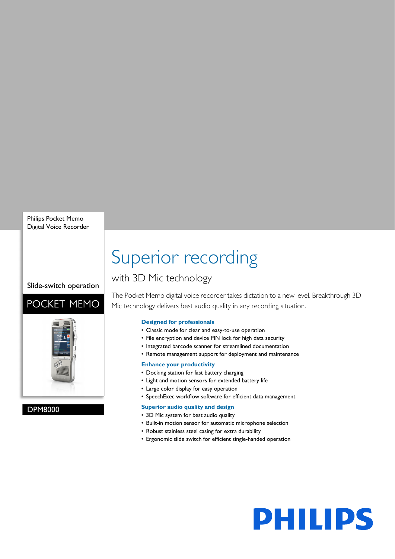Philips Pocket Memo Digital Voice Recorder

Slide-switch operation

### POCKET MEMO



### DPM8000

# Superior recording

### with 3D Mic technology

The Pocket Memo digital voice recorder takes dictation to a new level. Breakthrough 3D Mic technology delivers best audio quality in any recording situation.

### **Designed for professionals**

- Classic mode for clear and easy-to-use operation
- File encryption and device PIN lock for high data security
- Integrated barcode scanner for streamlined documentation
- Remote management support for deployment and maintenance

### **Enhance your productivity**

- Docking station for fast battery charging
- Light and motion sensors for extended battery life
- Large color display for easy operation
- SpeechExec workflow software for efficient data management

### **Superior audio quality and design**

- 3D Mic system for best audio quality
- Built-in motion sensor for automatic microphone selection
- Robust stainless steel casing for extra durability
- Ergonomic slide switch for efficient single-handed operation

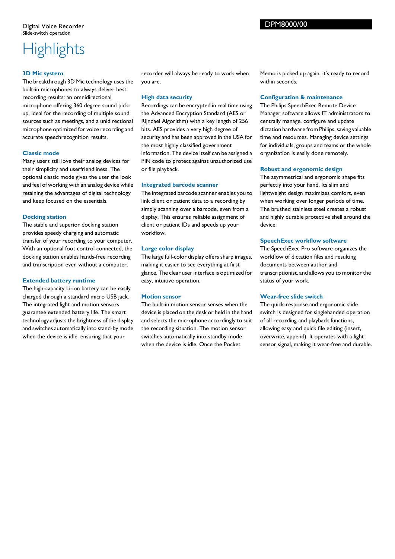## **Highlights**

### **3D Mic system**

The breakthrough 3D Mic technology uses the built-in microphones to always deliver best recording results: an omnidirectional microphone offering 360 degree sound pickup, ideal for the recording of multiple sound sources such as meetings, and a unidirectional microphone optimized for voice recording and accurate speechrecognition results.

### **Classic mode**

Many users still love their analog devices for their simplicity and userfriendliness. The optional classic mode gives the user the look and feel of working with an analog device while retaining the advantages of digital technology and keep focused on the essentials.

### **Docking station**

The stable and superior docking station provides speedy charging and automatic transfer of your recording to your computer. With an optional foot control connected, the docking station enables hands-free recording and transcription even without a computer.

### **Extended battery runtime**

The high-capacity Li-ion battery can be easily charged through a standard micro USB jack. The integrated light and motion sensors guarantee extended battery life. The smart technology adjusts the brightness of the display and switches automatically into stand-by mode when the device is idle, ensuring that your

recorder will always be ready to work when you are.

### **High data security**

Recordings can be encrypted in real time using the Advanced Encryption Standard (AES or Rijndael Algorithm) with a key length of 256 bits. AES provides a very high degree of security and has been approved in the USA for the most highly classified government information. The device itself can be assigned a PIN code to protect against unauthorized use or file playback.

### **Integrated barcode scanner**

The integrated barcode scanner enables you to link client or patient data to a recording by simply scanning over a barcode, even from a display. This ensures reliable assignment of client or patient IDs and speeds up your workflow.

### **Large color display**

The large full-color display offers sharp images, making it easier to see everything at first glance. The clear user interface is optimized for easy, intuitive operation.

### **Motion sensor**

The built-in motion sensor senses when the device is placed on the desk or held in the hand and selects the microphone accordingly to suit the recording situation. The motion sensor switches automatically into standby mode when the device is idle. Once the Pocket

Memo is picked up again, it's ready to record within seconds.

### **Configuration & maintenance**

The Philips SpeechExec Remote Device Manager software allows IT administrators to centrally manage, configure and update dictation hardware from Philips, saving valuable time and resources. Managing device settings for individuals, groups and teams or the whole organization is easily done remotely.

### **Robust and ergonomic design**

The asymmetrical and ergonomic shape fits perfectly into your hand. Its slim and lightweight design maximizes comfort, even when working over longer periods of time. The brushed stainless steel creates a robust and highly durable protective shell around the device.

### **SpeechExec workflow software**

The SpeechExec Pro software organizes the workflow of dictation files and resulting documents between author and transcriptionist, and allows you to monitor the status of your work.

### **Wear-free slide switch**

The quick-response and ergonomic slide switch is designed for singlehanded operation of all recording and playback functions, allowing easy and quick file editing (insert, overwrite, append). It operates with a light sensor signal, making it wear-free and durable.